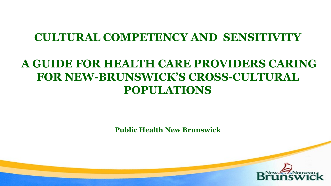#### **CULTURAL COMPETENCY AND SENSITIVITY**

#### **A GUIDE FOR HEALTH CARE PROVIDERS CARING FOR NEW-BRUNSWICK'S CROSS-CULTURAL POPULATIONS**

**Public Health New Brunswick**

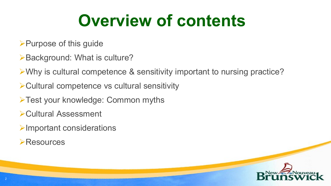### **Overview of contents**

- Purpose of this guide
- **≻Background: What is culture?**
- Why is cultural competence & sensitivity important to nursing practice?
- Cultural competence vs cultural sensitivity
- >Test your knowledge: Common myths
- Cultural Assessment
- Important considerations
- **Exes**

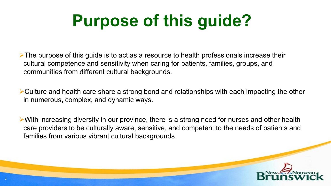# **Purpose of this guide?**

 $\triangleright$  The purpose of this guide is to act as a resource to health professionals increase their cultural competence and sensitivity when caring for patients, families, groups, and communities from different cultural backgrounds.

 $\triangleright$  Culture and health care share a strong bond and relationships with each impacting the other in numerous, complex, and dynamic ways.

 $\triangleright$  With increasing diversity in our province, there is a strong need for nurses and other health care providers to be culturally aware, sensitive, and competent to the needs of patients and families from various vibrant cultural backgrounds.

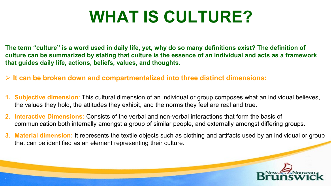### **WHAT IS CULTURE?**

**The term "culture" is a word used in daily life, yet, why do so many definitions exist? The definition of culture can be summarized by stating that culture is the essence of an individual and acts as a framework that guides daily life, actions, beliefs, values, and thoughts.**

- **It can be broken down and compartmentalized into three distinct dimensions:**
- **1. Subjective dimension**: This cultural dimension of an individual or group composes what an individual believes, the values they hold, the attitudes they exhibit, and the norms they feel are real and true.
- **2. Interactive Dimensions:** Consists of the verbal and non-verbal interactions that form the basis of communication both internally amongst a group of similar people, and externally amongst differing groups.
- **3. Material dimension:** It represents the textile objects such as clothing and artifacts used by an individual or group that can be identified as an element representing their culture.

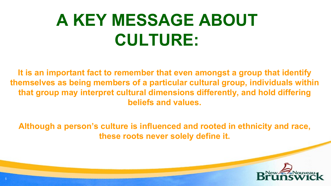# **A KEY MESSAGE ABOUT CULTURE:**

**It is an important fact to remember that even amongst a group that identify themselves as being members of a particular cultural group, individuals within that group may interpret cultural dimensions differently, and hold differing beliefs and values.** 

**Although a person's culture is influenced and rooted in ethnicity and race, these roots never solely define it.** 

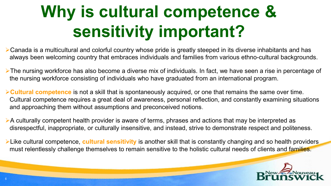# **Why is cultural competence & sensitivity important?**

Canada is a multicultural and colorful country whose pride is greatly steeped in its diverse inhabitants and has always been welcoming country that embraces individuals and families from various ethno-cultural backgrounds.

- The nursing workforce has also become a diverse mix of individuals. In fact, we have seen a rise in percentage of the nursing workforce consisting of individuals who have graduated from an international program.
- **Cultural competence** is not a skill that is spontaneously acquired, or one that remains the same over time. Cultural competence requires a great deal of awareness, personal reflection, and constantly examining situations and approaching them without assumptions and preconceived notions.
- $\triangleright$  A culturally competent health provider is aware of terms, phrases and actions that may be interpreted as disrespectful, inappropriate, or culturally insensitive, and instead, strive to demonstrate respect and politeness.

Like cultural competence, **cultural sensitivity** is another skill that is constantly changing and so health providers must relentlessly challenge themselves to remain sensitive to the holistic cultural needs of clients and families.

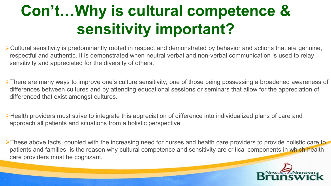#### **Con't…Why is cultural competence & sensitivity important?**

Cultural sensitivity is predominantly rooted in respect and demonstrated by behavior and actions that are genuine, respectful and authentic. It is demonstrated when neutral verbal and non-verbal communication is used to relay sensitivity and appreciated for the diversity of others.

There are many ways to improve one's culture sensitivity, one of those being possessing a broadened awareness of differences between cultures and by attending educational sessions or seminars that allow for the appreciation of differenced that exist amongst cultures.

Health providers must strive to integrate this appreciation of difference into individualized plans of care and approach all patients and situations from a holistic perspective.

These above facts, coupled with the increasing need for nurses and health care providers to provide holistic care to patients and families, is the reason why cultural competence and sensitivity are critical components in which health care providers must be cognizant.

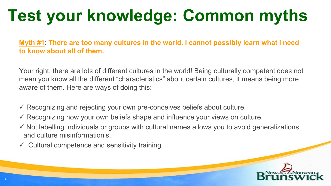# **Test your knowledge: Common myths**

**Myth #1**: **There are too many cultures in the world. I cannot possibly learn what I need to know about all of them.**

Your right, there are lots of different cultures in the world! Being culturally competent does not mean you know all the different "characteristics" about certain cultures, it means being more aware of them. Here are ways of doing this:

- $\checkmark$  Recognizing and rejecting your own pre-conceives beliefs about culture.
- $\checkmark$  Recognizing how your own beliefs shape and influence your views on culture.
- $\checkmark$  Not labelling individuals or groups with cultural names allows you to avoid generalizations and culture misinformation's.
- $\checkmark$  Cultural competence and sensitivity training

8

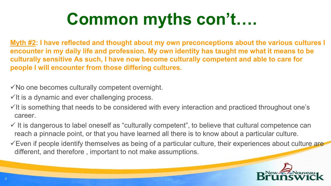# **Common myths con't….**

**Myth #2: I have reflected and thought about my own preconceptions about the various cultures I encounter in my daily life and profession. My own identity has taught me what it means to be culturally sensitive As such, I have now become culturally competent and able to care for people I will encounter from those differing cultures.** 

 $\checkmark$  No one becomes culturally competent overnight.

 $\checkmark$  it is a dynamic and ever challenging process.

 $\checkmark$  it is something that needs to be considered with every interaction and practiced throughout one's career.

 $\checkmark$  It is dangerous to label oneself as "culturally competent", to believe that cultural competence can reach a pinnacle point, or that you have learned all there is to know about a particular culture.

 $\checkmark$  Even if people identify themselves as being of a particular culture, their experiences about culture are different, and therefore , important to not make assumptions.

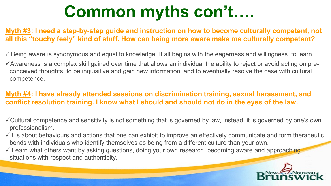## **Common myths con't….**

#### **Myth #3: I need a step-by-step guide and instruction on how to become culturally competent, not all this "touchy feely" kind of stuff. How can being more aware make me culturally competent?**

- $\checkmark$  Being aware is synonymous and equal to knowledge. It all begins with the eagerness and willingness to learn.
- $\checkmark$  Awareness is a complex skill gained over time that allows an individual the ability to reject or avoid acting on preconceived thoughts, to be inquisitive and gain new information, and to eventually resolve the case with cultural competence.

#### **Myth #4: I have already attended sessions on discrimination training, sexual harassment, and conflict resolution training. I know what I should and should not do in the eyes of the law.**

- Cultural competence and sensitivity is not something that is governed by law, instead, it is governed by one's own professionalism.
- $\checkmark$  It is about behaviours and actions that one can exhibit to improve an effectively communicate and form therapeutic bonds with individuals who identify themselves as being from a different culture than your own.
- $\checkmark$  Learn what others want by asking questions, doing your own research, becoming aware and approaching situations with respect and authenticity.

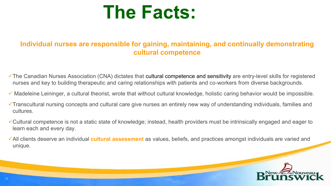

#### **Individual nurses are responsible for gaining, maintaining, and continually demonstrating cultural competence**

- The Canadian Nurses Association (CNA) dictates that cultural competence and sensitivity are entry-level skills for registered nurses and key to building therapeutic and caring relationships with patients and co-workers from diverse backgrounds.
- $\checkmark$  Madeleine Leininger, a cultural theorist, wrote that without cultural knowledge, holistic caring behavior would be impossible.
- Transcultural nursing concepts and cultural care give nurses an entirely new way of understanding individuals, families and cultures.
- Cultural competence is not a static state of knowledge; instead, health providers must be intrinsically engaged and eager to learn each and every day.
- All clients deserve an individual **cultural assessment** as values, beliefs, and practices amongst individuals are varied and unique.

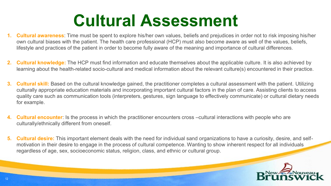#### **Cultural Assessment**

- **1. Cultural awareness**: Time must be spent to explore his/her own values, beliefs and prejudices in order not to risk imposing his/her own cultural biases with the patient. The health care professional (HCP) must also become aware as well of the values, beliefs, lifestyle and practices of the patient in order to become fully aware of the meaning and importance of cultural differences.
- **2. Cultural knowledge:** The HCP must find information and educate themselves about the applicable culture. It is also achieved by learning about the health-related socio-cultural and medical information about the relevant culture(s) encountered in their practice.
- **3. Cultural skill:** Based on the cultural knowledge gained, the practitioner completes a cultural assessment with the patient. Utilizing culturally appropriate education materials and incorporating important cultural factors in the plan of care. Assisting clients to access quality care such as communication tools (interpreters, gestures, sign language to effectively communicate) or cultural dietary needs for example.
- **4. Cultural encounter**: Is the process in which the practitioner encounters cross –cultural interactions with people who are culturally/ethnically different from oneself.
- **5. Cultural desire:** This important element deals with the need for individual sand organizations to have a curiosity, desire, and selfmotivation in their desire to engage in the process of cultural competence. Wanting to show inherent respect for all individuals regardless of age, sex, socioeconomic status, religion, class, and ethnic or cultural group.

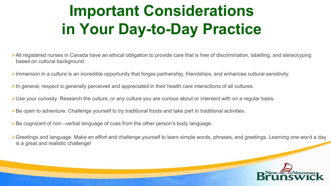#### **Important Considerations in Your Day-to-Day Practice**

- All registered nurses in Canada have an ethical obligation to provide care that is free of discrimination, labelling, and stereotyping based on cultural background.
- $\triangleright$  Immersion in a culture is an incredible opportunity that forges partnership, friendships, and enhances cultural sensitivity.
- $\triangleright$  In general, respect is generally perceived and appreciated in their health care interactions of all cultures.
- Use your curiosity. Research the culture, or any culture you are curious about or intersect with on a regular basis.
- ▶ Be open to adventure. Challenge yourself to try traditional foods and take part in traditional activities.
- ▶Be cognizant of non –verbal language of cues from the other person's body language.
- Greetings and language. Make an effort and challenge yourself to learn simple words, phrases, and greetings. Learning one word a day is a great and realistic challenge!

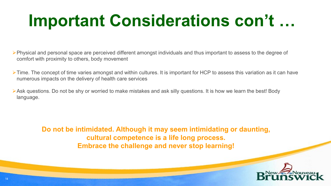### **Important Considerations con't …**

- Physical and personal space are perceived different amongst individuals and thus important to assess to the degree of comfort with proximity to others, body movement
- $\triangleright$  Time. The concept of time varies amongst and within cultures. It is important for HCP to assess this variation as it can have numerous impacts on the delivery of health care services
- Ask questions. Do not be shy or worried to make mistakes and ask silly questions. It is how we learn the best! Body language.

**Do not be intimidated. Although it may seem intimidating or daunting, cultural competence is a life long process. Embrace the challenge and never stop learning!**